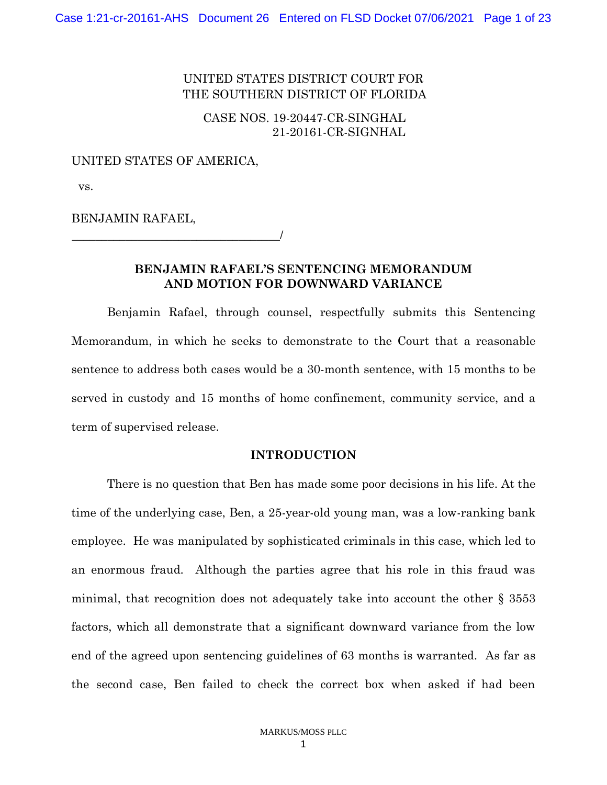# UNITED STATES DISTRICT COURT FOR THE SOUTHERN DISTRICT OF FLORIDA

# CASE NOS. 19-20447-CR-SINGHAL 21-20161-CR-SIGNHAL

#### UNITED STATES OF AMERICA,

vs.

BENJAMIN RAFAEL,

\_\_\_\_\_\_\_\_\_\_\_\_\_\_\_\_\_\_\_\_\_\_\_\_\_\_\_\_\_\_\_\_\_\_\_/

### **BENJAMIN RAFAEL'S SENTENCING MEMORANDUM AND MOTION FOR DOWNWARD VARIANCE**

Benjamin Rafael, through counsel, respectfully submits this Sentencing Memorandum, in which he seeks to demonstrate to the Court that a reasonable sentence to address both cases would be a 30-month sentence, with 15 months to be served in custody and 15 months of home confinement, community service, and a term of supervised release.

### **INTRODUCTION**

There is no question that Ben has made some poor decisions in his life. At the time of the underlying case, Ben, a 25-year-old young man, was a low-ranking bank employee. He was manipulated by sophisticated criminals in this case, which led to an enormous fraud. Although the parties agree that his role in this fraud was minimal, that recognition does not adequately take into account the other § 3553 factors, which all demonstrate that a significant downward variance from the low end of the agreed upon sentencing guidelines of 63 months is warranted. As far as the second case, Ben failed to check the correct box when asked if had been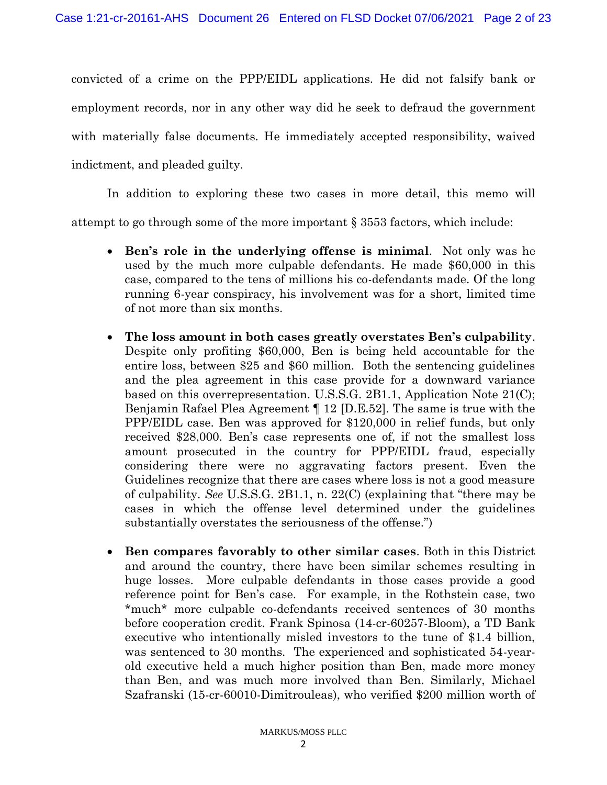convicted of a crime on the PPP/EIDL applications. He did not falsify bank or employment records, nor in any other way did he seek to defraud the government with materially false documents. He immediately accepted responsibility, waived indictment, and pleaded guilty.

In addition to exploring these two cases in more detail, this memo will attempt to go through some of the more important § 3553 factors, which include:

- **Ben's role in the underlying offense is minimal**. Not only was he used by the much more culpable defendants. He made \$60,000 in this case, compared to the tens of millions his co-defendants made. Of the long running 6-year conspiracy, his involvement was for a short, limited time of not more than six months.
- **The loss amount in both cases greatly overstates Ben's culpability**. Despite only profiting \$60,000, Ben is being held accountable for the entire loss, between \$25 and \$60 million. Both the sentencing guidelines and the plea agreement in this case provide for a downward variance based on this overrepresentation. U.S.S.G. 2B1.1, Application Note 21(C); Benjamin Rafael Plea Agreement ¶ 12 [D.E.52]. The same is true with the PPP/EIDL case. Ben was approved for \$120,000 in relief funds, but only received \$28,000. Ben's case represents one of, if not the smallest loss amount prosecuted in the country for PPP/EIDL fraud, especially considering there were no aggravating factors present. Even the Guidelines recognize that there are cases where loss is not a good measure of culpability. *See* U.S.S.G. 2B1.1, n. 22(C) (explaining that "there may be cases in which the offense level determined under the guidelines substantially overstates the seriousness of the offense.")
- **Ben compares favorably to other similar cases**. Both in this District and around the country, there have been similar schemes resulting in huge losses. More culpable defendants in those cases provide a good reference point for Ben's case. For example, in the Rothstein case, two \*much\* more culpable co-defendants received sentences of 30 months before cooperation credit. Frank Spinosa (14-cr-60257-Bloom), a TD Bank executive who intentionally misled investors to the tune of \$1.4 billion, was sentenced to 30 months. The experienced and sophisticated 54-yearold executive held a much higher position than Ben, made more money than Ben, and was much more involved than Ben. Similarly, Michael Szafranski (15-cr-60010-Dimitrouleas), who verified \$200 million worth of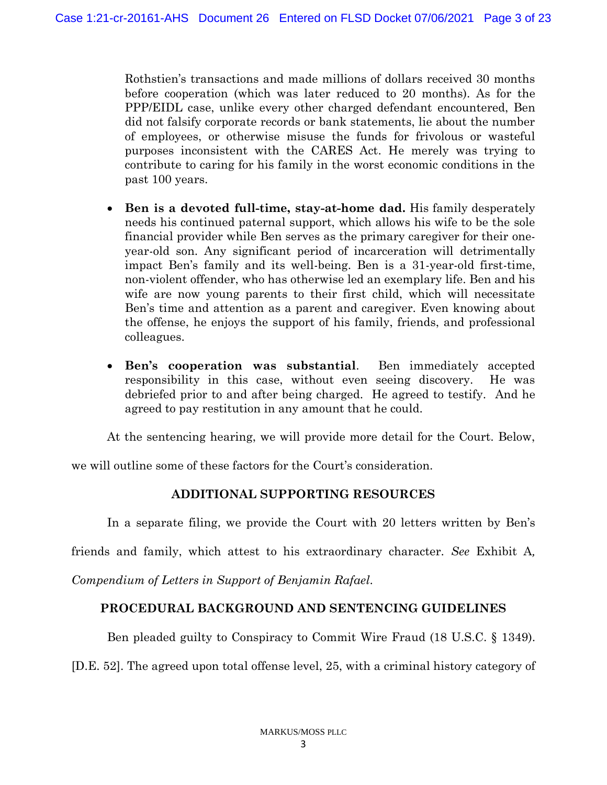Rothstien's transactions and made millions of dollars received 30 months before cooperation (which was later reduced to 20 months). As for the PPP/EIDL case, unlike every other charged defendant encountered, Ben did not falsify corporate records or bank statements, lie about the number of employees, or otherwise misuse the funds for frivolous or wasteful purposes inconsistent with the CARES Act. He merely was trying to contribute to caring for his family in the worst economic conditions in the past 100 years.

- **Ben is a devoted full-time, stay-at-home dad.** His family desperately needs his continued paternal support, which allows his wife to be the sole financial provider while Ben serves as the primary caregiver for their oneyear-old son. Any significant period of incarceration will detrimentally impact Ben's family and its well-being. Ben is a 31-year-old first-time, non-violent offender, who has otherwise led an exemplary life. Ben and his wife are now young parents to their first child, which will necessitate Ben's time and attention as a parent and caregiver. Even knowing about the offense, he enjoys the support of his family, friends, and professional colleagues.
- **Ben's cooperation was substantial**. Ben immediately accepted responsibility in this case, without even seeing discovery. He was debriefed prior to and after being charged. He agreed to testify. And he agreed to pay restitution in any amount that he could.

At the sentencing hearing, we will provide more detail for the Court. Below,

we will outline some of these factors for the Court's consideration.

# **ADDITIONAL SUPPORTING RESOURCES**

In a separate filing, we provide the Court with 20 letters written by Ben's

friends and family, which attest to his extraordinary character. *See* Exhibit A*,* 

*Compendium of Letters in Support of Benjamin Rafael*.

# **PROCEDURAL BACKGROUND AND SENTENCING GUIDELINES**

Ben pleaded guilty to Conspiracy to Commit Wire Fraud (18 U.S.C. § 1349).

[D.E. 52]. The agreed upon total offense level, 25, with a criminal history category of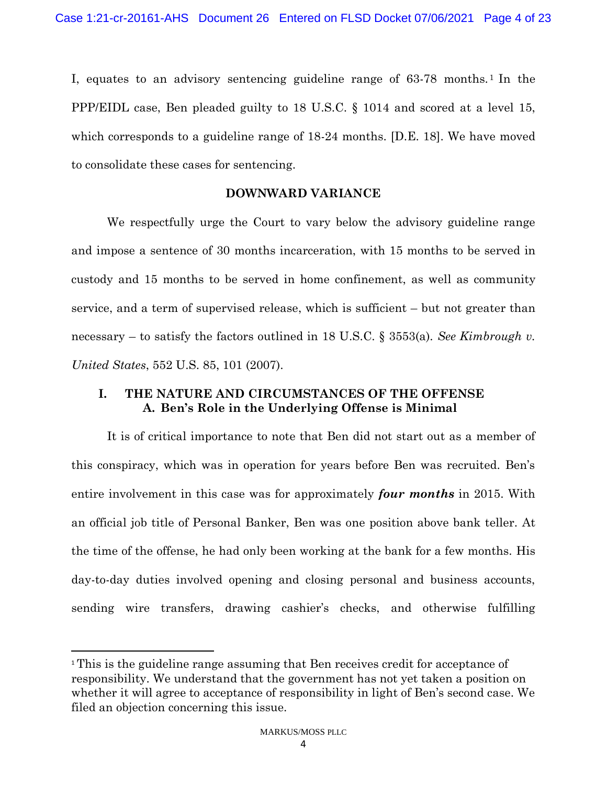I, equates to an advisory sentencing guideline range of 63-78 months. <sup>1</sup> In the PPP/EIDL case, Ben pleaded guilty to 18 U.S.C. § 1014 and scored at a level 15, which corresponds to a guideline range of 18-24 months. [D.E. 18]. We have moved to consolidate these cases for sentencing.

### **DOWNWARD VARIANCE**

We respectfully urge the Court to vary below the advisory guideline range and impose a sentence of 30 months incarceration, with 15 months to be served in custody and 15 months to be served in home confinement, as well as community service, and a term of supervised release, which is sufficient – but not greater than necessary – to satisfy the factors outlined in 18 U.S.C. § 3553(a). *See Kimbrough v. United States*, 552 U.S. 85, 101 (2007).

# **I. THE NATURE AND CIRCUMSTANCES OF THE OFFENSE A. Ben's Role in the Underlying Offense is Minimal**

It is of critical importance to note that Ben did not start out as a member of this conspiracy, which was in operation for years before Ben was recruited. Ben's entire involvement in this case was for approximately *four months* in 2015. With an official job title of Personal Banker, Ben was one position above bank teller. At the time of the offense, he had only been working at the bank for a few months. His day-to-day duties involved opening and closing personal and business accounts, sending wire transfers, drawing cashier's checks, and otherwise fulfilling

<sup>1</sup> This is the guideline range assuming that Ben receives credit for acceptance of responsibility. We understand that the government has not yet taken a position on whether it will agree to acceptance of responsibility in light of Ben's second case. We filed an objection concerning this issue.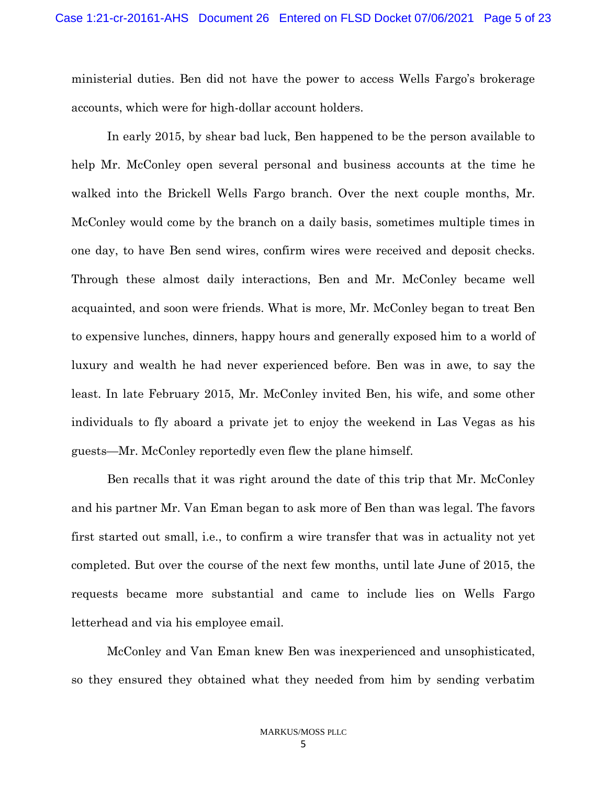ministerial duties. Ben did not have the power to access Wells Fargo's brokerage accounts, which were for high-dollar account holders.

In early 2015, by shear bad luck, Ben happened to be the person available to help Mr. McConley open several personal and business accounts at the time he walked into the Brickell Wells Fargo branch. Over the next couple months, Mr. McConley would come by the branch on a daily basis, sometimes multiple times in one day, to have Ben send wires, confirm wires were received and deposit checks. Through these almost daily interactions, Ben and Mr. McConley became well acquainted, and soon were friends. What is more, Mr. McConley began to treat Ben to expensive lunches, dinners, happy hours and generally exposed him to a world of luxury and wealth he had never experienced before. Ben was in awe, to say the least. In late February 2015, Mr. McConley invited Ben, his wife, and some other individuals to fly aboard a private jet to enjoy the weekend in Las Vegas as his guests—Mr. McConley reportedly even flew the plane himself.

Ben recalls that it was right around the date of this trip that Mr. McConley and his partner Mr. Van Eman began to ask more of Ben than was legal. The favors first started out small, i.e., to confirm a wire transfer that was in actuality not yet completed. But over the course of the next few months, until late June of 2015, the requests became more substantial and came to include lies on Wells Fargo letterhead and via his employee email.

McConley and Van Eman knew Ben was inexperienced and unsophisticated, so they ensured they obtained what they needed from him by sending verbatim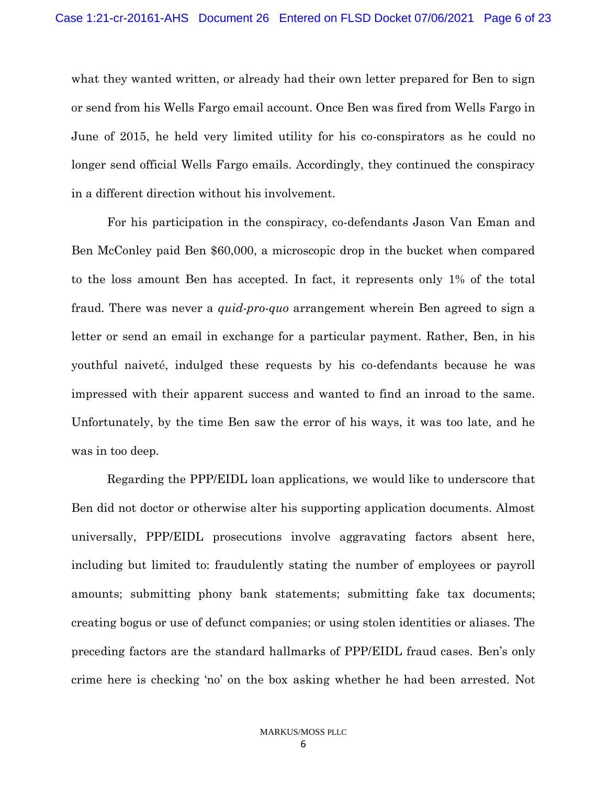what they wanted written, or already had their own letter prepared for Ben to sign or send from his Wells Fargo email account. Once Ben was fired from Wells Fargo in June of 2015, he held very limited utility for his co-conspirators as he could no longer send official Wells Fargo emails. Accordingly, they continued the conspiracy in a different direction without his involvement.

For his participation in the conspiracy, co-defendants Jason Van Eman and Ben McConley paid Ben \$60,000, a microscopic drop in the bucket when compared to the loss amount Ben has accepted. In fact, it represents only 1% of the total fraud. There was never a *quid-pro-quo* arrangement wherein Ben agreed to sign a letter or send an email in exchange for a particular payment. Rather, Ben, in his youthful naiveté, indulged these requests by his co-defendants because he was impressed with their apparent success and wanted to find an inroad to the same. Unfortunately, by the time Ben saw the error of his ways, it was too late, and he was in too deep.

Regarding the PPP/EIDL loan applications, we would like to underscore that Ben did not doctor or otherwise alter his supporting application documents. Almost universally, PPP/EIDL prosecutions involve aggravating factors absent here, including but limited to: fraudulently stating the number of employees or payroll amounts; submitting phony bank statements; submitting fake tax documents; creating bogus or use of defunct companies; or using stolen identities or aliases. The preceding factors are the standard hallmarks of PPP/EIDL fraud cases. Ben's only crime here is checking 'no' on the box asking whether he had been arrested. Not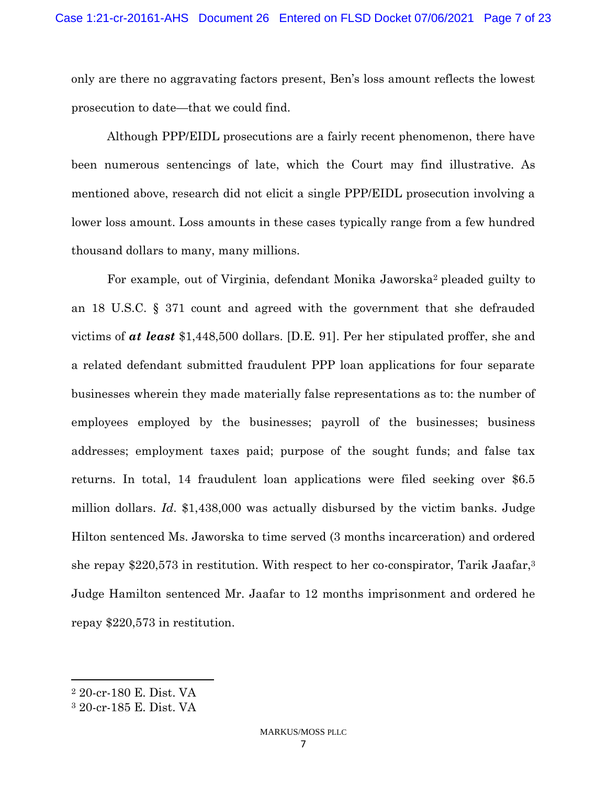only are there no aggravating factors present, Ben's loss amount reflects the lowest prosecution to date—that we could find.

Although PPP/EIDL prosecutions are a fairly recent phenomenon, there have been numerous sentencings of late, which the Court may find illustrative. As mentioned above, research did not elicit a single PPP/EIDL prosecution involving a lower loss amount. Loss amounts in these cases typically range from a few hundred thousand dollars to many, many millions.

For example, out of Virginia, defendant Monika Jaworska<sup>2</sup> pleaded guilty to an 18 U.S.C. § 371 count and agreed with the government that she defrauded victims of *at least* \$1,448,500 dollars. [D.E. 91]. Per her stipulated proffer, she and a related defendant submitted fraudulent PPP loan applications for four separate businesses wherein they made materially false representations as to: the number of employees employed by the businesses; payroll of the businesses; business addresses; employment taxes paid; purpose of the sought funds; and false tax returns. In total, 14 fraudulent loan applications were filed seeking over \$6.5 million dollars. *Id*. \$1,438,000 was actually disbursed by the victim banks. Judge Hilton sentenced Ms. Jaworska to time served (3 months incarceration) and ordered she repay \$220,573 in restitution. With respect to her co-conspirator, Tarik Jaafar,<sup>3</sup> Judge Hamilton sentenced Mr. Jaafar to 12 months imprisonment and ordered he repay \$220,573 in restitution.

<sup>2</sup> 20-cr-180 E. Dist. VA

<sup>3</sup> 20-cr-185 E. Dist. VA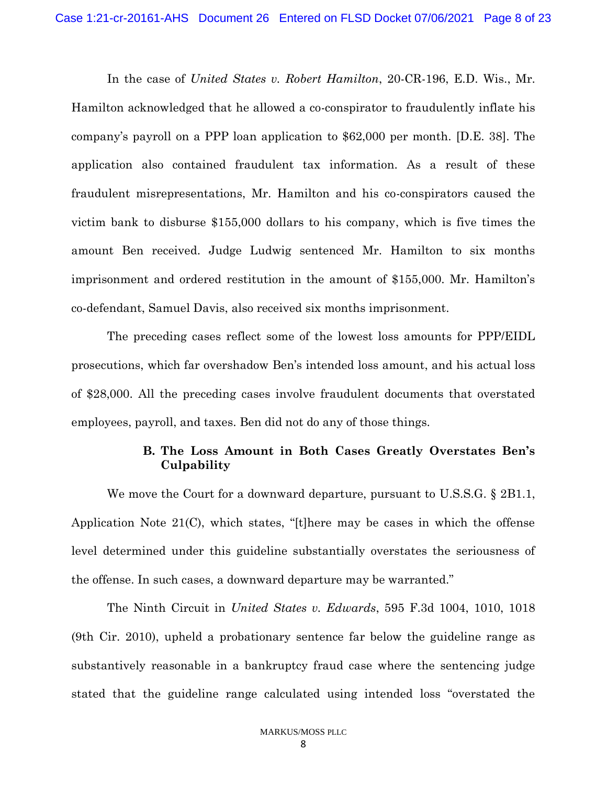In the case of *United States v. Robert Hamilton*, 20-CR-196, E.D. Wis., Mr. Hamilton acknowledged that he allowed a co-conspirator to fraudulently inflate his company's payroll on a PPP loan application to \$62,000 per month. [D.E. 38]. The application also contained fraudulent tax information. As a result of these fraudulent misrepresentations, Mr. Hamilton and his co-conspirators caused the victim bank to disburse \$155,000 dollars to his company, which is five times the amount Ben received. Judge Ludwig sentenced Mr. Hamilton to six months imprisonment and ordered restitution in the amount of \$155,000. Mr. Hamilton's co-defendant, Samuel Davis, also received six months imprisonment.

The preceding cases reflect some of the lowest loss amounts for PPP/EIDL prosecutions, which far overshadow Ben's intended loss amount, and his actual loss of \$28,000. All the preceding cases involve fraudulent documents that overstated employees, payroll, and taxes. Ben did not do any of those things.

# **B. The Loss Amount in Both Cases Greatly Overstates Ben's Culpability**

We move the Court for a downward departure, pursuant to U.S.S.G. § 2B1.1, Application Note 21(C), which states, "[t]here may be cases in which the offense level determined under this guideline substantially overstates the seriousness of the offense. In such cases, a downward departure may be warranted."

The Ninth Circuit in *United States v. Edwards*, 595 F.3d 1004, 1010, 1018 (9th Cir. 2010), upheld a probationary sentence far below the guideline range as substantively reasonable in a bankruptcy fraud case where the sentencing judge stated that the guideline range calculated using intended loss "overstated the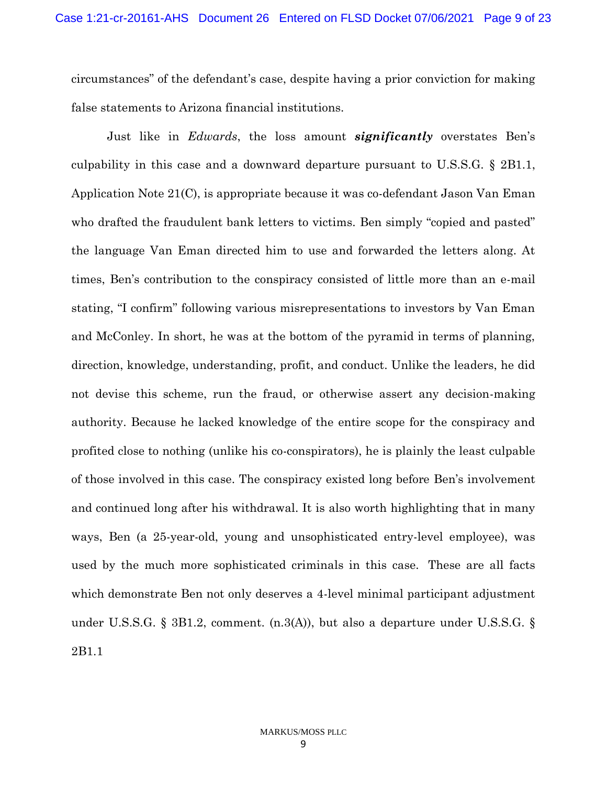circumstances" of the defendant's case, despite having a prior conviction for making false statements to Arizona financial institutions.

Just like in *Edwards*, the loss amount *significantly* overstates Ben's culpability in this case and a downward departure pursuant to U.S.S.G. § 2B1.1, Application Note 21(C), is appropriate because it was co-defendant Jason Van Eman who drafted the fraudulent bank letters to victims. Ben simply "copied and pasted" the language Van Eman directed him to use and forwarded the letters along. At times, Ben's contribution to the conspiracy consisted of little more than an e-mail stating, "I confirm" following various misrepresentations to investors by Van Eman and McConley. In short, he was at the bottom of the pyramid in terms of planning, direction, knowledge, understanding, profit, and conduct. Unlike the leaders, he did not devise this scheme, run the fraud, or otherwise assert any decision-making authority. Because he lacked knowledge of the entire scope for the conspiracy and profited close to nothing (unlike his co-conspirators), he is plainly the least culpable of those involved in this case. The conspiracy existed long before Ben's involvement and continued long after his withdrawal. It is also worth highlighting that in many ways, Ben (a 25-year-old, young and unsophisticated entry-level employee), was used by the much more sophisticated criminals in this case. These are all facts which demonstrate Ben not only deserves a 4-level minimal participant adjustment under U.S.S.G. § 3B1.2, comment. (n.3(A)), but also a departure under U.S.S.G. § 2B1.1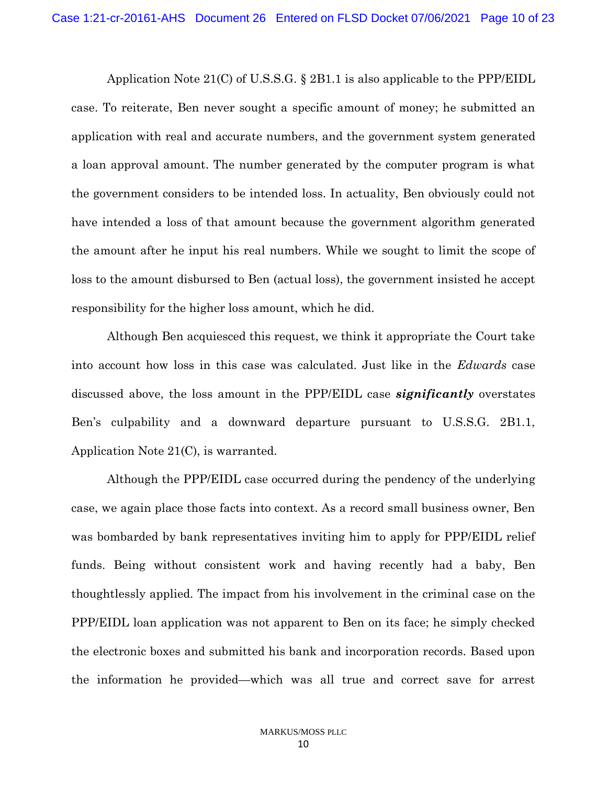Application Note 21(C) of U.S.S.G. § 2B1.1 is also applicable to the PPP/EIDL case. To reiterate, Ben never sought a specific amount of money; he submitted an application with real and accurate numbers, and the government system generated a loan approval amount. The number generated by the computer program is what the government considers to be intended loss. In actuality, Ben obviously could not have intended a loss of that amount because the government algorithm generated the amount after he input his real numbers. While we sought to limit the scope of loss to the amount disbursed to Ben (actual loss), the government insisted he accept responsibility for the higher loss amount, which he did.

Although Ben acquiesced this request, we think it appropriate the Court take into account how loss in this case was calculated. Just like in the *Edwards* case discussed above, the loss amount in the PPP/EIDL case *significantly* overstates Ben's culpability and a downward departure pursuant to U.S.S.G. 2B1.1, Application Note 21(C), is warranted.

Although the PPP/EIDL case occurred during the pendency of the underlying case, we again place those facts into context. As a record small business owner, Ben was bombarded by bank representatives inviting him to apply for PPP/EIDL relief funds. Being without consistent work and having recently had a baby, Ben thoughtlessly applied. The impact from his involvement in the criminal case on the PPP/EIDL loan application was not apparent to Ben on its face; he simply checked the electronic boxes and submitted his bank and incorporation records. Based upon the information he provided—which was all true and correct save for arrest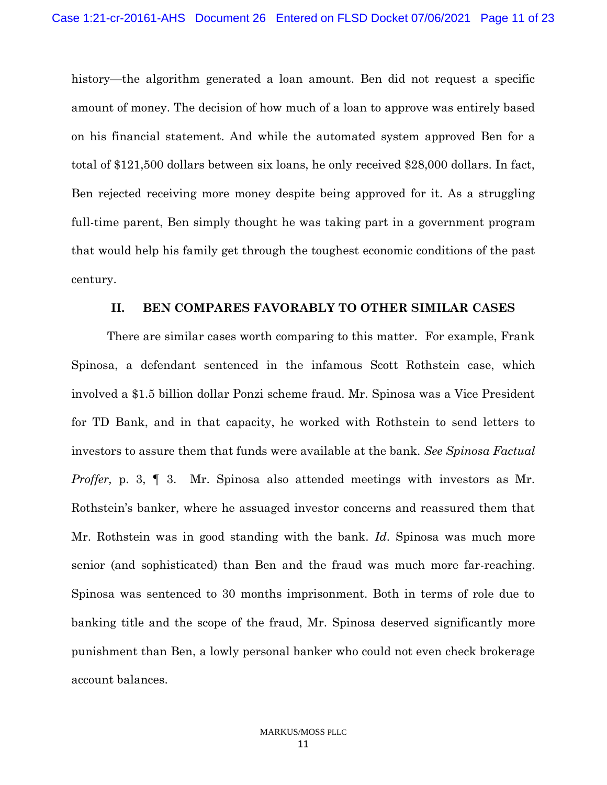history—the algorithm generated a loan amount. Ben did not request a specific amount of money. The decision of how much of a loan to approve was entirely based on his financial statement. And while the automated system approved Ben for a total of \$121,500 dollars between six loans, he only received \$28,000 dollars. In fact, Ben rejected receiving more money despite being approved for it. As a struggling full-time parent, Ben simply thought he was taking part in a government program that would help his family get through the toughest economic conditions of the past century.

### **II. BEN COMPARES FAVORABLY TO OTHER SIMILAR CASES**

There are similar cases worth comparing to this matter. For example, Frank Spinosa, a defendant sentenced in the infamous Scott Rothstein case, which involved a \$1.5 billion dollar Ponzi scheme fraud. Mr. Spinosa was a Vice President for TD Bank, and in that capacity, he worked with Rothstein to send letters to investors to assure them that funds were available at the bank. *See Spinosa Factual Proffer, p.* 3,  $\parallel$  3. Mr. Spinosa also attended meetings with investors as Mr. Rothstein's banker, where he assuaged investor concerns and reassured them that Mr. Rothstein was in good standing with the bank. *Id*. Spinosa was much more senior (and sophisticated) than Ben and the fraud was much more far-reaching. Spinosa was sentenced to 30 months imprisonment. Both in terms of role due to banking title and the scope of the fraud, Mr. Spinosa deserved significantly more punishment than Ben, a lowly personal banker who could not even check brokerage account balances.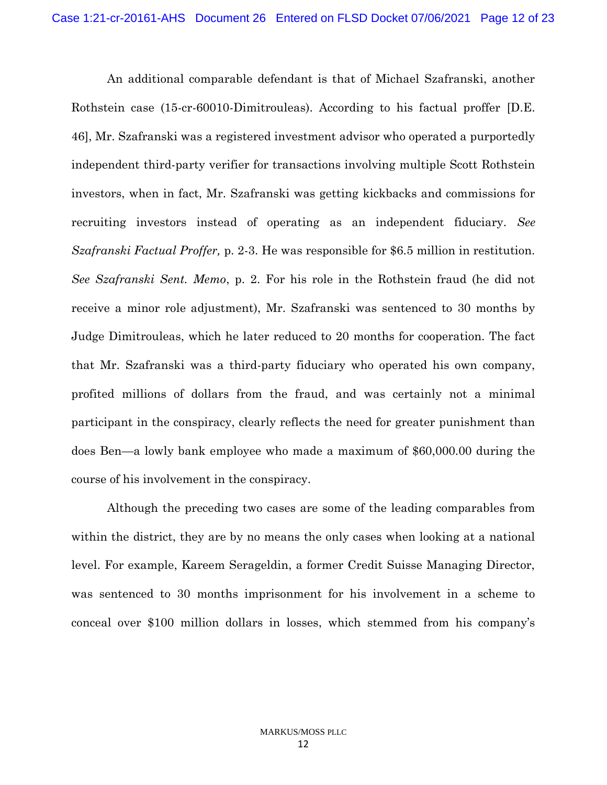An additional comparable defendant is that of Michael Szafranski, another Rothstein case (15-cr-60010-Dimitrouleas). According to his factual proffer [D.E. 46], Mr. Szafranski was a registered investment advisor who operated a purportedly independent third-party verifier for transactions involving multiple Scott Rothstein investors, when in fact, Mr. Szafranski was getting kickbacks and commissions for recruiting investors instead of operating as an independent fiduciary. *See Szafranski Factual Proffer,* p. 2-3. He was responsible for \$6.5 million in restitution. *See Szafranski Sent. Memo*, p. 2. For his role in the Rothstein fraud (he did not receive a minor role adjustment), Mr. Szafranski was sentenced to 30 months by Judge Dimitrouleas, which he later reduced to 20 months for cooperation. The fact that Mr. Szafranski was a third-party fiduciary who operated his own company, profited millions of dollars from the fraud, and was certainly not a minimal participant in the conspiracy, clearly reflects the need for greater punishment than does Ben—a lowly bank employee who made a maximum of \$60,000.00 during the course of his involvement in the conspiracy.

Although the preceding two cases are some of the leading comparables from within the district, they are by no means the only cases when looking at a national level. For example, Kareem Serageldin, a former Credit Suisse Managing Director, was sentenced to 30 months imprisonment for his involvement in a scheme to conceal over \$100 million dollars in losses, which stemmed from his company's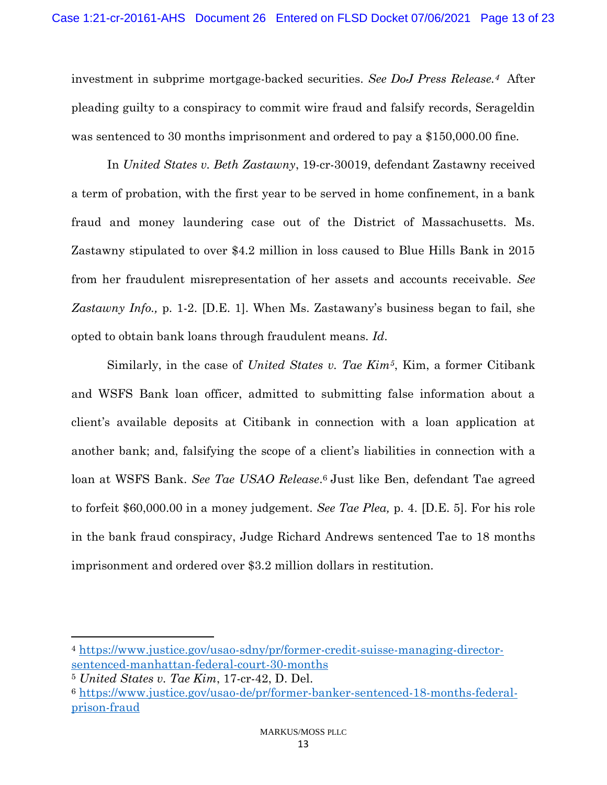investment in subprime mortgage-backed securities. *See DoJ Press Release.4* After pleading guilty to a conspiracy to commit wire fraud and falsify records, Serageldin was sentenced to 30 months imprisonment and ordered to pay a \$150,000.00 fine.

In *United States v. Beth Zastawny*, 19-cr-30019, defendant Zastawny received a term of probation, with the first year to be served in home confinement, in a bank fraud and money laundering case out of the District of Massachusetts. Ms. Zastawny stipulated to over \$4.2 million in loss caused to Blue Hills Bank in 2015 from her fraudulent misrepresentation of her assets and accounts receivable. *See Zastawny Info.,* p. 1-2. [D.E. 1]. When Ms. Zastawany's business began to fail, she opted to obtain bank loans through fraudulent means. *Id*.

Similarly, in the case of *United States v. Tae Kim5*, Kim, a former Citibank and WSFS Bank loan officer, admitted to submitting false information about a client's available deposits at Citibank in connection with a loan application at another bank; and, falsifying the scope of a client's liabilities in connection with a loan at WSFS Bank. *See Tae USAO Release*. <sup>6</sup> Just like Ben, defendant Tae agreed to forfeit \$60,000.00 in a money judgement. *See Tae Plea,* p. 4. [D.E. 5]. For his role in the bank fraud conspiracy, Judge Richard Andrews sentenced Tae to 18 months imprisonment and ordered over \$3.2 million dollars in restitution.

<sup>4</sup> [https://www.justice.gov/usao-sdny/pr/former-credit-suisse-managing-director](https://www.justice.gov/usao-sdny/pr/former-credit-suisse-managing-director-sentenced-manhattan-federal-court-30-months)[sentenced-manhattan-federal-court-30-months](https://www.justice.gov/usao-sdny/pr/former-credit-suisse-managing-director-sentenced-manhattan-federal-court-30-months)

<sup>5</sup> *United States v. Tae Kim*, 17-cr-42, D. Del.

<sup>6</sup> [https://www.justice.gov/usao-de/pr/former-banker-sentenced-18-months-federal](https://www.justice.gov/usao-de/pr/former-banker-sentenced-18-months-federal-prison-fraud)[prison-fraud](https://www.justice.gov/usao-de/pr/former-banker-sentenced-18-months-federal-prison-fraud)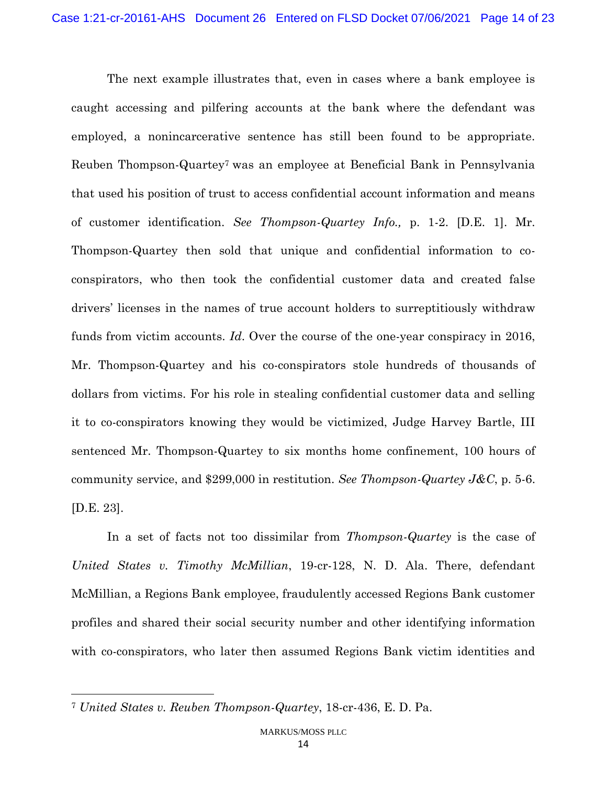The next example illustrates that, even in cases where a bank employee is caught accessing and pilfering accounts at the bank where the defendant was employed, a nonincarcerative sentence has still been found to be appropriate. Reuben Thompson-Quartey<sup>7</sup> was an employee at Beneficial Bank in Pennsylvania that used his position of trust to access confidential account information and means of customer identification. *See Thompson-Quartey Info.,* p. 1-2. [D.E. 1]. Mr. Thompson-Quartey then sold that unique and confidential information to coconspirators, who then took the confidential customer data and created false drivers' licenses in the names of true account holders to surreptitiously withdraw funds from victim accounts. *Id*. Over the course of the one-year conspiracy in 2016, Mr. Thompson-Quartey and his co-conspirators stole hundreds of thousands of dollars from victims. For his role in stealing confidential customer data and selling it to co-conspirators knowing they would be victimized, Judge Harvey Bartle, III sentenced Mr. Thompson-Quartey to six months home confinement, 100 hours of community service, and \$299,000 in restitution. *See Thompson-Quartey J&C*, p. 5-6. [D.E. 23].

In a set of facts not too dissimilar from *Thompson-Quartey* is the case of *United States v. Timothy McMillian*, 19-cr-128, N. D. Ala. There, defendant McMillian, a Regions Bank employee, fraudulently accessed Regions Bank customer profiles and shared their social security number and other identifying information with co-conspirators, who later then assumed Regions Bank victim identities and

<sup>7</sup> *United States v. Reuben Thompson-Quartey*, 18-cr-436, E. D. Pa.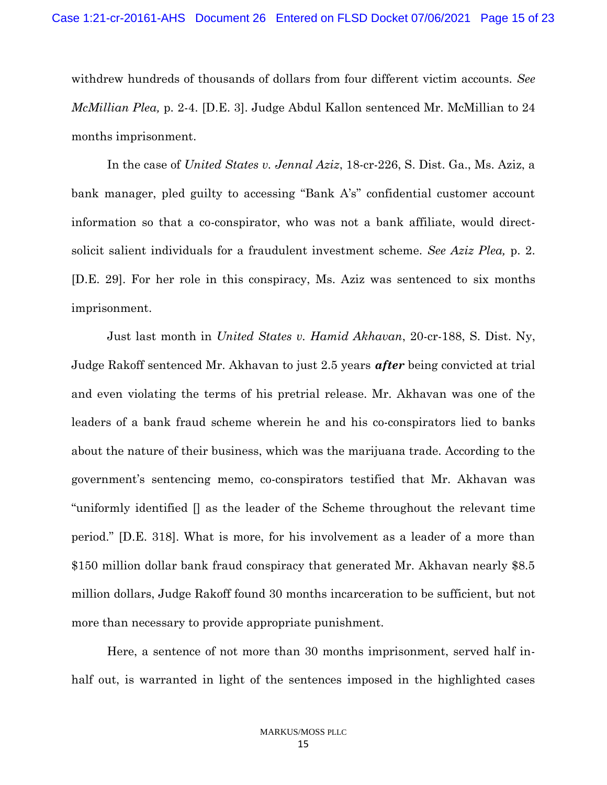withdrew hundreds of thousands of dollars from four different victim accounts. *See McMillian Plea,* p. 2-4. [D.E. 3]. Judge Abdul Kallon sentenced Mr. McMillian to 24 months imprisonment.

In the case of *United States v. Jennal Aziz*, 18-cr-226, S. Dist. Ga., Ms. Aziz, a bank manager, pled guilty to accessing "Bank A's" confidential customer account information so that a co-conspirator, who was not a bank affiliate, would directsolicit salient individuals for a fraudulent investment scheme. *See Aziz Plea,* p. 2. [D.E. 29]. For her role in this conspiracy, Ms. Aziz was sentenced to six months imprisonment.

Just last month in *United States v. Hamid Akhavan*, 20-cr-188, S. Dist. Ny, Judge Rakoff sentenced Mr. Akhavan to just 2.5 years *after* being convicted at trial and even violating the terms of his pretrial release. Mr. Akhavan was one of the leaders of a bank fraud scheme wherein he and his co-conspirators lied to banks about the nature of their business, which was the marijuana trade. According to the government's sentencing memo, co-conspirators testified that Mr. Akhavan was "uniformly identified [] as the leader of the Scheme throughout the relevant time period." [D.E. 318]. What is more, for his involvement as a leader of a more than \$150 million dollar bank fraud conspiracy that generated Mr. Akhavan nearly \$8.5 million dollars, Judge Rakoff found 30 months incarceration to be sufficient, but not more than necessary to provide appropriate punishment.

Here, a sentence of not more than 30 months imprisonment, served half inhalf out, is warranted in light of the sentences imposed in the highlighted cases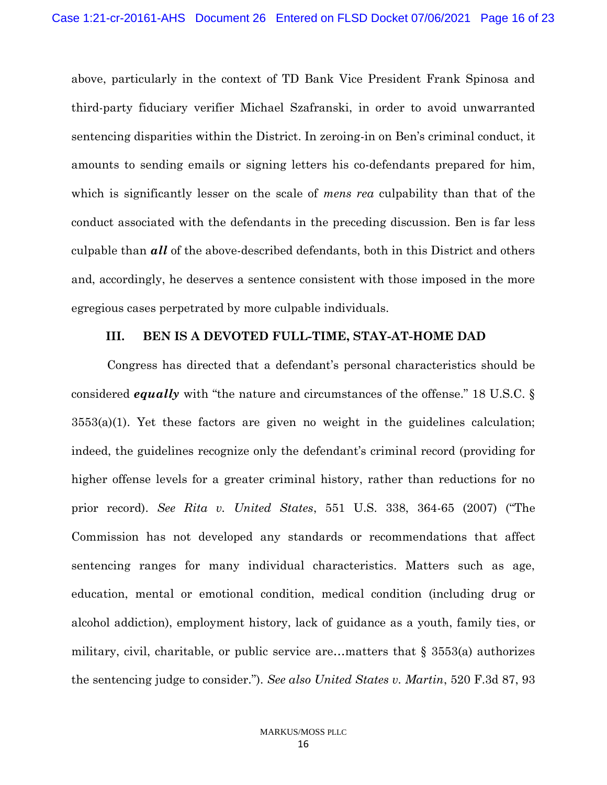above, particularly in the context of TD Bank Vice President Frank Spinosa and third-party fiduciary verifier Michael Szafranski, in order to avoid unwarranted sentencing disparities within the District. In zeroing-in on Ben's criminal conduct, it amounts to sending emails or signing letters his co-defendants prepared for him, which is significantly lesser on the scale of *mens rea* culpability than that of the conduct associated with the defendants in the preceding discussion. Ben is far less culpable than *all* of the above-described defendants, both in this District and others and, accordingly, he deserves a sentence consistent with those imposed in the more egregious cases perpetrated by more culpable individuals.

#### **III. BEN IS A DEVOTED FULL-TIME, STAY-AT-HOME DAD**

Congress has directed that a defendant's personal characteristics should be considered *equally* with "the nature and circumstances of the offense." 18 U.S.C. §  $3553(a)(1)$ . Yet these factors are given no weight in the guidelines calculation; indeed, the guidelines recognize only the defendant's criminal record (providing for higher offense levels for a greater criminal history, rather than reductions for no prior record). *See Rita v. United States*, 551 U.S. 338, 364-65 (2007) ("The Commission has not developed any standards or recommendations that affect sentencing ranges for many individual characteristics. Matters such as age, education, mental or emotional condition, medical condition (including drug or alcohol addiction), employment history, lack of guidance as a youth, family ties, or military, civil, charitable, or public service are…matters that § 3553(a) authorizes the sentencing judge to consider."). *See also United States v. Martin*, 520 F.3d 87, 93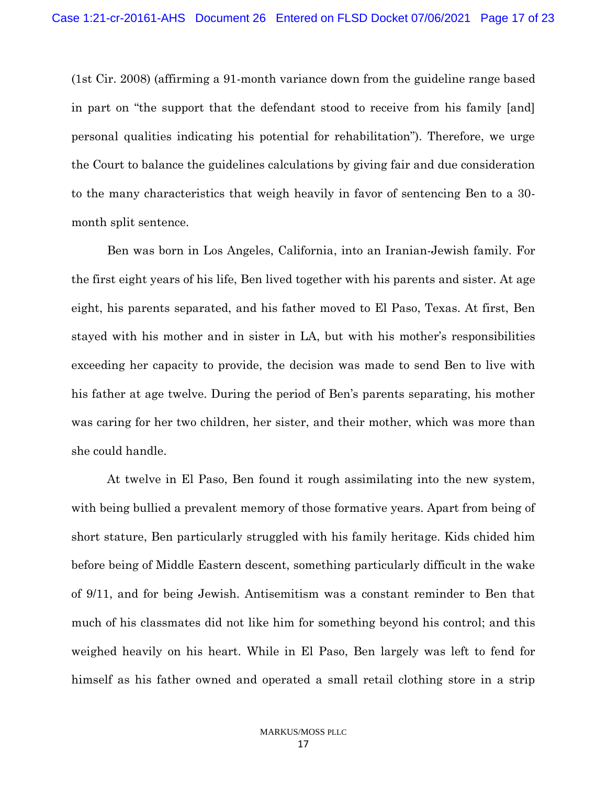(1st Cir. 2008) (affirming a 91-month variance down from the guideline range based in part on "the support that the defendant stood to receive from his family [and] personal qualities indicating his potential for rehabilitation"). Therefore, we urge the Court to balance the guidelines calculations by giving fair and due consideration to the many characteristics that weigh heavily in favor of sentencing Ben to a 30 month split sentence.

Ben was born in Los Angeles, California, into an Iranian-Jewish family. For the first eight years of his life, Ben lived together with his parents and sister. At age eight, his parents separated, and his father moved to El Paso, Texas. At first, Ben stayed with his mother and in sister in LA, but with his mother's responsibilities exceeding her capacity to provide, the decision was made to send Ben to live with his father at age twelve. During the period of Ben's parents separating, his mother was caring for her two children, her sister, and their mother, which was more than she could handle.

At twelve in El Paso, Ben found it rough assimilating into the new system, with being bullied a prevalent memory of those formative years. Apart from being of short stature, Ben particularly struggled with his family heritage. Kids chided him before being of Middle Eastern descent, something particularly difficult in the wake of 9/11, and for being Jewish. Antisemitism was a constant reminder to Ben that much of his classmates did not like him for something beyond his control; and this weighed heavily on his heart. While in El Paso, Ben largely was left to fend for himself as his father owned and operated a small retail clothing store in a strip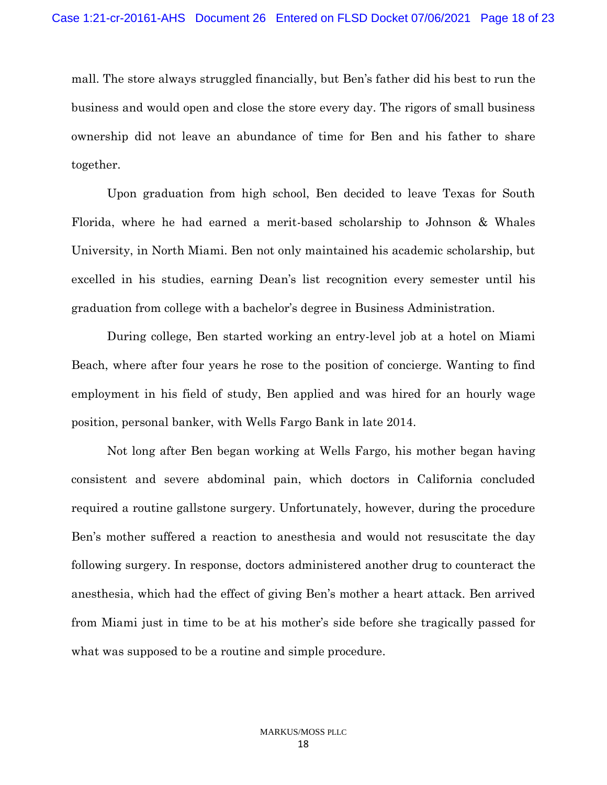mall. The store always struggled financially, but Ben's father did his best to run the business and would open and close the store every day. The rigors of small business ownership did not leave an abundance of time for Ben and his father to share together.

Upon graduation from high school, Ben decided to leave Texas for South Florida, where he had earned a merit-based scholarship to Johnson & Whales University, in North Miami. Ben not only maintained his academic scholarship, but excelled in his studies, earning Dean's list recognition every semester until his graduation from college with a bachelor's degree in Business Administration.

During college, Ben started working an entry-level job at a hotel on Miami Beach, where after four years he rose to the position of concierge. Wanting to find employment in his field of study, Ben applied and was hired for an hourly wage position, personal banker, with Wells Fargo Bank in late 2014.

Not long after Ben began working at Wells Fargo, his mother began having consistent and severe abdominal pain, which doctors in California concluded required a routine gallstone surgery. Unfortunately, however, during the procedure Ben's mother suffered a reaction to anesthesia and would not resuscitate the day following surgery. In response, doctors administered another drug to counteract the anesthesia, which had the effect of giving Ben's mother a heart attack. Ben arrived from Miami just in time to be at his mother's side before she tragically passed for what was supposed to be a routine and simple procedure.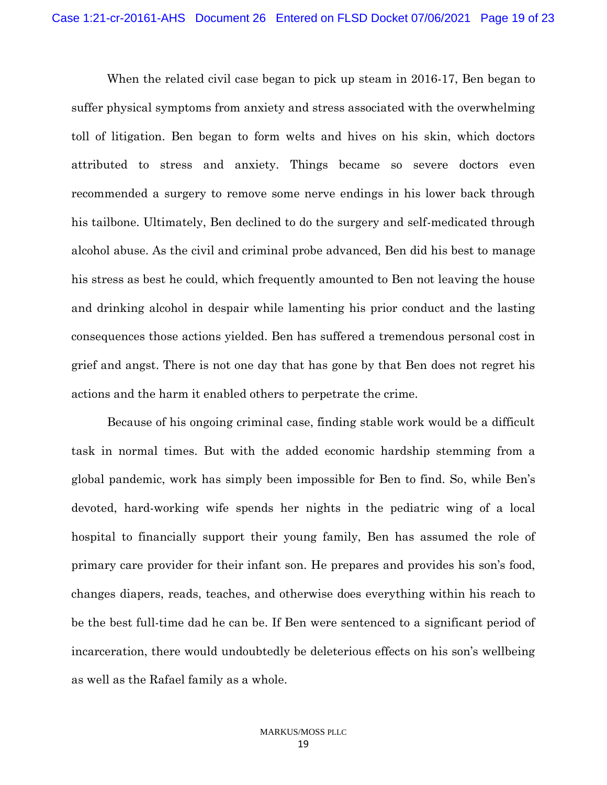When the related civil case began to pick up steam in 2016-17, Ben began to suffer physical symptoms from anxiety and stress associated with the overwhelming toll of litigation. Ben began to form welts and hives on his skin, which doctors attributed to stress and anxiety. Things became so severe doctors even recommended a surgery to remove some nerve endings in his lower back through his tailbone. Ultimately, Ben declined to do the surgery and self-medicated through alcohol abuse. As the civil and criminal probe advanced, Ben did his best to manage his stress as best he could, which frequently amounted to Ben not leaving the house and drinking alcohol in despair while lamenting his prior conduct and the lasting consequences those actions yielded. Ben has suffered a tremendous personal cost in grief and angst. There is not one day that has gone by that Ben does not regret his actions and the harm it enabled others to perpetrate the crime.

Because of his ongoing criminal case, finding stable work would be a difficult task in normal times. But with the added economic hardship stemming from a global pandemic, work has simply been impossible for Ben to find. So, while Ben's devoted, hard-working wife spends her nights in the pediatric wing of a local hospital to financially support their young family, Ben has assumed the role of primary care provider for their infant son. He prepares and provides his son's food, changes diapers, reads, teaches, and otherwise does everything within his reach to be the best full-time dad he can be. If Ben were sentenced to a significant period of incarceration, there would undoubtedly be deleterious effects on his son's wellbeing as well as the Rafael family as a whole.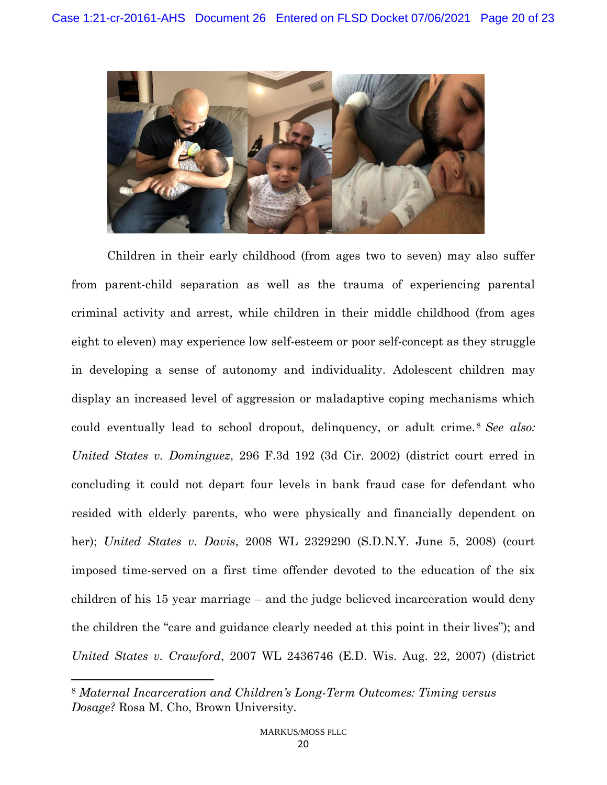

Children in their early childhood (from ages two to seven) may also suffer from parent-child separation as well as the trauma of experiencing parental criminal activity and arrest, while children in their middle childhood (from ages eight to eleven) may experience low self-esteem or poor self-concept as they struggle in developing a sense of autonomy and individuality. Adolescent children may display an increased level of aggression or maladaptive coping mechanisms which could eventually lead to school dropout, delinquency, or adult crime.<sup>8</sup> *See also: United States v. Dominguez*, 296 F.3d 192 (3d Cir. 2002) (district court erred in concluding it could not depart four levels in bank fraud case for defendant who resided with elderly parents, who were physically and financially dependent on her); *United States v. Davis*, 2008 WL 2329290 (S.D.N.Y. June 5, 2008) (court imposed time-served on a first time offender devoted to the education of the six children of his 15 year marriage – and the judge believed incarceration would deny the children the "care and guidance clearly needed at this point in their lives"); and *United States v. Crawford*, 2007 WL 2436746 (E.D. Wis. Aug. 22, 2007) (district

<sup>8</sup> *Maternal Incarceration and Children's Long-Term Outcomes: Timing versus Dosage?* Rosa M. Cho, Brown University.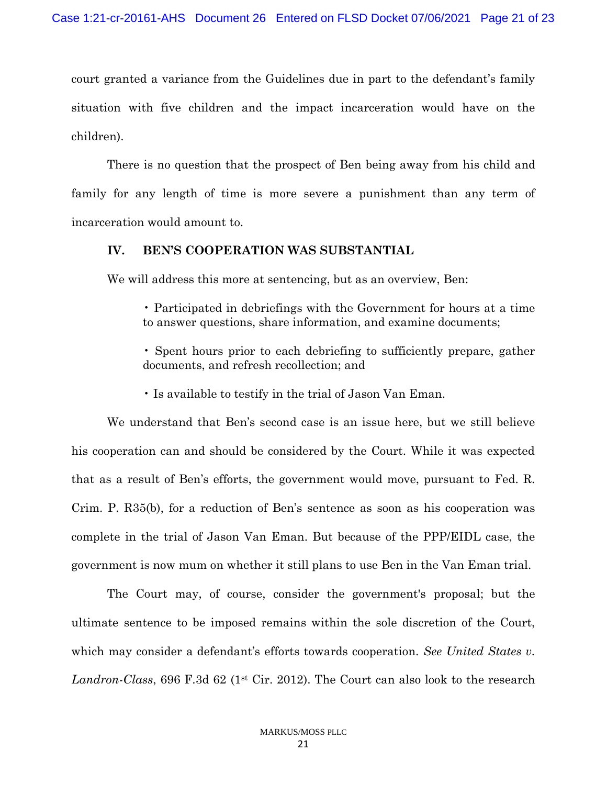court granted a variance from the Guidelines due in part to the defendant's family situation with five children and the impact incarceration would have on the children).

There is no question that the prospect of Ben being away from his child and family for any length of time is more severe a punishment than any term of incarceration would amount to.

#### **IV. BEN'S COOPERATION WAS SUBSTANTIAL**

We will address this more at sentencing, but as an overview, Ben:

• Participated in debriefings with the Government for hours at a time to answer questions, share information, and examine documents;

• Spent hours prior to each debriefing to sufficiently prepare, gather documents, and refresh recollection; and

• Is available to testify in the trial of Jason Van Eman.

We understand that Ben's second case is an issue here, but we still believe his cooperation can and should be considered by the Court. While it was expected that as a result of Ben's efforts, the government would move, pursuant to Fed. R. Crim. P. R35(b), for a reduction of Ben's sentence as soon as his cooperation was complete in the trial of Jason Van Eman. But because of the PPP/EIDL case, the government is now mum on whether it still plans to use Ben in the Van Eman trial.

The Court may, of course, consider the government's proposal; but the ultimate sentence to be imposed remains within the sole discretion of the Court, which may consider a defendant's efforts towards cooperation. *See United States v.*  Landron-Class, 696 F.3d 62 (1<sup>st</sup> Cir. 2012). The Court can also look to the research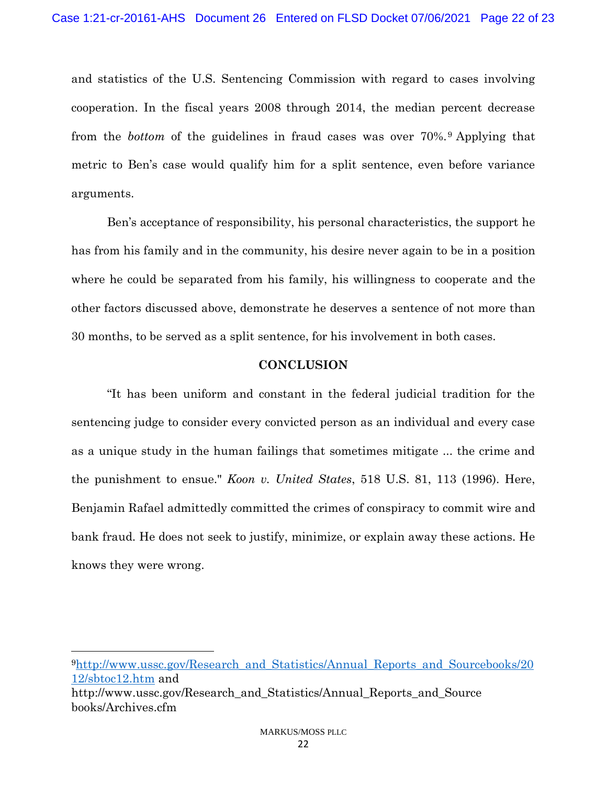and statistics of the U.S. Sentencing Commission with regard to cases involving cooperation. In the fiscal years 2008 through 2014, the median percent decrease from the *bottom* of the guidelines in fraud cases was over 70%.<sup>9</sup> Applying that metric to Ben's case would qualify him for a split sentence, even before variance arguments.

Ben's acceptance of responsibility, his personal characteristics, the support he has from his family and in the community, his desire never again to be in a position where he could be separated from his family, his willingness to cooperate and the other factors discussed above, demonstrate he deserves a sentence of not more than 30 months, to be served as a split sentence, for his involvement in both cases.

### **CONCLUSION**

"It has been uniform and constant in the federal judicial tradition for the sentencing judge to consider every convicted person as an individual and every case as a unique study in the human failings that sometimes mitigate ... the crime and the punishment to ensue." *Koon v. United States*, 518 U.S. 81, 113 (1996). Here, Benjamin Rafael admittedly committed the crimes of conspiracy to commit wire and bank fraud. He does not seek to justify, minimize, or explain away these actions. He knows they were wrong.

<sup>9</sup>[http://www.ussc.gov/Research\\_and\\_Statistics/Annual\\_Reports\\_and\\_Sourcebooks/20](http://www.ussc.gov/Research_and_Statistics/Annual_Reports_and_Sourcebooks/2012/sbtoc12.htm) [12/sbtoc12.htm](http://www.ussc.gov/Research_and_Statistics/Annual_Reports_and_Sourcebooks/2012/sbtoc12.htm) and http://www.ussc.gov/Research\_and\_Statistics/Annual\_Reports\_and\_Source books/Archives.cfm